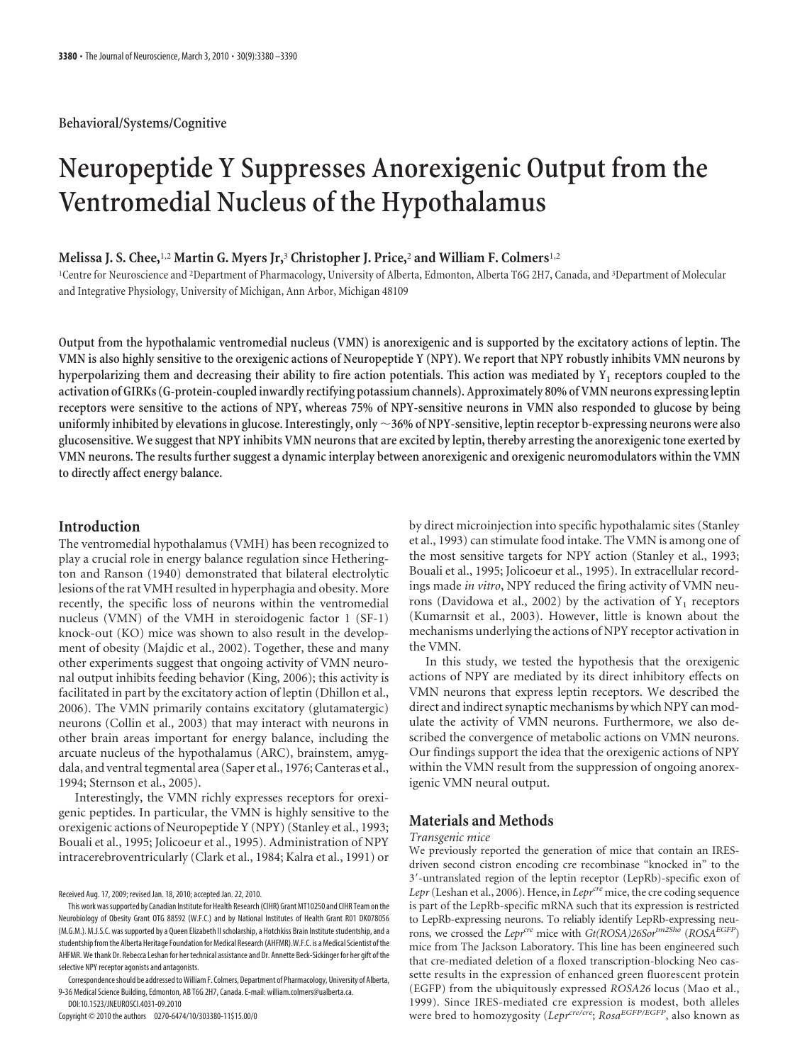# **Neuropeptide Y Suppresses Anorexigenic Output from the Ventromedial Nucleus of the Hypothalamus**

## **Melissa J. S. Chee,**1,2 **Martin G. Myers Jr,**<sup>3</sup> **Christopher J. Price,**<sup>2</sup> **and William F. Colmers**1,2

1 Centre for Neuroscience and <sup>2</sup> Department of Pharmacology, University of Alberta, Edmonton, Alberta T6G 2H7, Canada, and <sup>3</sup> Department of Molecular and Integrative Physiology, University of Michigan, Ann Arbor, Michigan 48109

**Output from the hypothalamic ventromedial nucleus (VMN) is anorexigenic and is supported by the excitatory actions of leptin. The VMN is also highly sensitive to the orexigenic actions of Neuropeptide Y (NPY). We report that NPY robustly inhibits VMN neurons by hyperpolarizing them and decreasing their ability to fire action potentials. This action was mediated by Y1 receptors coupled to the activation of GIRKs (G-protein-coupled inwardly rectifying potassium channels). Approximately 80% of VMN neurons expressing leptin receptors were sensitive to the actions of NPY, whereas 75% of NPY-sensitive neurons in VMN also responded to glucose by being uniformly inhibited by elevations in glucose. Interestingly, only 36% of NPY-sensitive, leptin receptor b-expressing neurons were also glucosensitive. We suggest that NPY inhibits VMN neurons that are excited by leptin, thereby arresting the anorexigenic tone exerted by VMN neurons. The results further suggest a dynamic interplay between anorexigenic and orexigenic neuromodulators within the VMN to directly affect energy balance.**

## **Introduction**

The ventromedial hypothalamus (VMH) has been recognized to play a crucial role in energy balance regulation since Hetherington and Ranson (1940) demonstrated that bilateral electrolytic lesions of the rat VMH resulted in hyperphagia and obesity. More recently, the specific loss of neurons within the ventromedial nucleus (VMN) of the VMH in steroidogenic factor 1 (SF-1) knock-out (KO) mice was shown to also result in the development of obesity (Majdic et al., 2002). Together, these and many other experiments suggest that ongoing activity of VMN neuronal output inhibits feeding behavior (King, 2006); this activity is facilitated in part by the excitatory action of leptin (Dhillon et al., 2006). The VMN primarily contains excitatory (glutamatergic) neurons (Collin et al., 2003) that may interact with neurons in other brain areas important for energy balance, including the arcuate nucleus of the hypothalamus (ARC), brainstem, amygdala, and ventral tegmental area (Saper et al., 1976; Canteras et al., 1994; Sternson et al., 2005).

Interestingly, the VMN richly expresses receptors for orexigenic peptides. In particular, the VMN is highly sensitive to the orexigenic actions of Neuropeptide Y (NPY) (Stanley et al., 1993; Bouali et al., 1995; Jolicoeur et al., 1995). Administration of NPY intracerebroventricularly (Clark et al., 1984; Kalra et al., 1991) or

Received Aug. 17, 2009; revised Jan. 18, 2010; accepted Jan. 22, 2010.

DOI:10.1523/JNEUROSCI.4031-09.2010

Copyright © 2010 the authors 0270-6474/10/303380-11\$15.00/0

by direct microinjection into specific hypothalamic sites (Stanley et al., 1993) can stimulate food intake. The VMN is among one of the most sensitive targets for NPY action (Stanley et al., 1993; Bouali et al., 1995; Jolicoeur et al., 1995). In extracellular recordings made *in vitro*, NPY reduced the firing activity of VMN neurons (Davidowa et al., 2002) by the activation of  $Y_1$  receptors (Kumarnsit et al., 2003). However, little is known about the mechanisms underlying the actions of NPY receptor activation in the VMN.

In this study, we tested the hypothesis that the orexigenic actions of NPY are mediated by its direct inhibitory effects on VMN neurons that express leptin receptors. We described the direct and indirect synaptic mechanisms by which NPY can modulate the activity of VMN neurons. Furthermore, we also described the convergence of metabolic actions on VMN neurons. Our findings support the idea that the orexigenic actions of NPY within the VMN result from the suppression of ongoing anorexigenic VMN neural output.

## **Materials and Methods**

#### *Transgenic mice*

We previously reported the generation of mice that contain an IRESdriven second cistron encoding cre recombinase "knocked in" to the 3--untranslated region of the leptin receptor (LepRb)-specific exon of *Lepr* (Leshan et al., 2006). Hence, in *Lepr<sup>cre</sup>* mice, the cre coding sequence is part of the LepRb-specific mRNA such that its expression is restricted to LepRb-expressing neurons. To reliably identify LepRb-expressing neurons, we crossed the *Lepr<sup>cre</sup>* mice with *Gt*(*ROSA)26Sor<sup>tm2Sho</sup> (<i>ROSA<sup>EGFP</sup>*) mice from The Jackson Laboratory. This line has been engineered such that cre-mediated deletion of a floxed transcription-blocking Neo cassette results in the expression of enhanced green fluorescent protein (EGFP) from the ubiquitously expressed *ROSA26* locus (Mao et al., 1999). Since IRES-mediated cre expression is modest, both alleles were bred to homozygosity (*Leprcre/cre*; *RosaEGFP/EGFP*, also known as

This work wassupported by Canadian Institute for Health Research(CIHR) Grant MT10250 and CIHR Team onthe Neurobiology of Obesity Grant OTG 88592 (W.F.C.) and by National Institutes of Health Grant R01 DK078056 (M.G.M.). M.J.S.C. was supported by a Queen Elizabeth II scholarship, a Hotchkiss Brain Institute studentship, and a studentship from the Alberta Heritage Foundation for Medical Research (AHFMR).W.F.C. is a Medical Scientist of the AHFMR. We thank Dr. Rebecca Leshan for her technical assistance and Dr. Annette Beck-Sickinger for her gift of the selective NPY receptor agonists and antagonists.

Correspondence should be addressed to William F. Colmers, Department of Pharmacology, University of Alberta, 9-36 Medical Science Building, Edmonton, AB T6G 2H7, Canada. E-mail: william.colmers@ualberta.ca.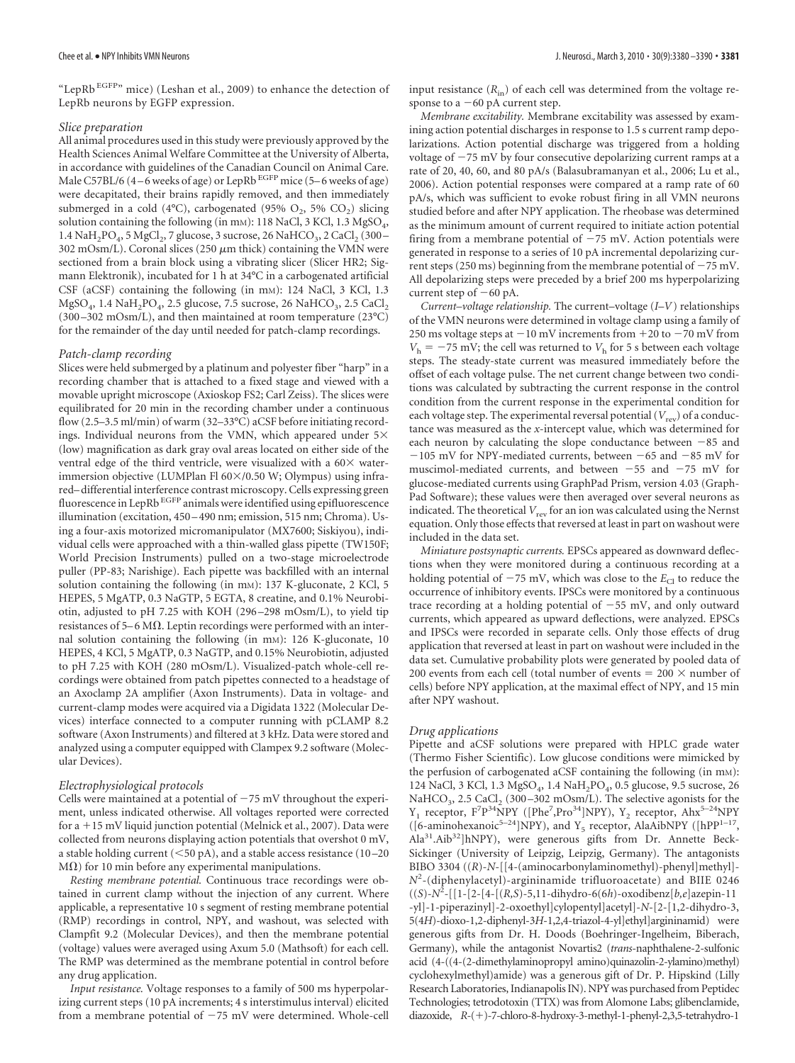"LepRb<sup>EGFP"</sup> mice) (Leshan et al., 2009) to enhance the detection of LepRb neurons by EGFP expression.

#### *Slice preparation*

All animal procedures used in this study were previously approved by the Health Sciences Animal Welfare Committee at the University of Alberta, in accordance with guidelines of the Canadian Council on Animal Care. Male C57BL/6 (4-6 weeks of age) or LepRb EGFP mice (5-6 weeks of age) were decapitated, their brains rapidly removed, and then immediately submerged in a cold (4°C), carbogenated (95% O<sub>2</sub>, 5% CO<sub>2</sub>) slicing solution containing the following (in mm): 118 NaCl, 3 KCl, 1.3 MgSO<sub>4</sub>,  $1.4$  NaH<sub>2</sub>PO<sub>4</sub>, 5 MgCl<sub>2</sub>, 7 glucose, 3 sucrose, 26 NaHCO<sub>3</sub>, 2 CaCl<sub>2</sub> (300 – 302 mOsm/L). Coronal slices (250  $\mu$ m thick) containing the VMN were sectioned from a brain block using a vibrating slicer (Slicer HR2; Sigmann Elektronik), incubated for 1 h at 34°C in a carbogenated artificial CSF (aCSF) containing the following (in mm): 124 NaCl, 3 KCl, 1.3 MgSO<sub>4</sub>, 1.4 NaH<sub>2</sub>PO<sub>4</sub>, 2.5 glucose, 7.5 sucrose, 26 NaHCO<sub>3</sub>, 2.5 CaCl<sub>2</sub> (300 –302 mOsm/L), and then maintained at room temperature (23°C) for the remainder of the day until needed for patch-clamp recordings.

#### *Patch-clamp recording*

Slices were held submerged by a platinum and polyester fiber "harp" in a recording chamber that is attached to a fixed stage and viewed with a movable upright microscope (Axioskop FS2; Carl Zeiss). The slices were equilibrated for 20 min in the recording chamber under a continuous flow (2.5–3.5 ml/min) of warm (32–33°C) aCSF before initiating recordings. Individual neurons from the VMN, which appeared under  $5\times$ (low) magnification as dark gray oval areas located on either side of the ventral edge of the third ventricle, were visualized with a  $60\times$  waterimmersion objective (LUMPlan Fl 60×/0.50 W; Olympus) using infrared– differential interference contrast microscopy. Cells expressing green<br>fluorescence in LepRb <sup>EGFP</sup> animals were identified using epifluorescence illumination (excitation, 450 – 490 nm; emission, 515 nm; Chroma). Using a four-axis motorized micromanipulator (MX7600; Siskiyou), individual cells were approached with a thin-walled glass pipette (TW150F; World Precision Instruments) pulled on a two-stage microelectrode puller (PP-83; Narishige). Each pipette was backfilled with an internal solution containing the following (in mm): 137 K-gluconate, 2 KCl, 5 HEPES, 5 MgATP, 0.3 NaGTP, 5 EGTA, 8 creatine, and 0.1% Neurobiotin, adjusted to pH 7.25 with KOH (296 –298 mOsm/L), to yield tip resistances of 5–6 M $\Omega$ . Leptin recordings were performed with an internal solution containing the following (in mm): 126 K-gluconate, 10 HEPES, 4 KCl, 5 MgATP, 0.3 NaGTP, and 0.15% Neurobiotin, adjusted to pH 7.25 with KOH (280 mOsm/L). Visualized-patch whole-cell recordings were obtained from patch pipettes connected to a headstage of an Axoclamp 2A amplifier (Axon Instruments). Data in voltage- and current-clamp modes were acquired via a Digidata 1322 (Molecular Devices) interface connected to a computer running with pCLAMP 8.2 software (Axon Instruments) and filtered at 3 kHz. Data were stored and analyzed using a computer equipped with Clampex 9.2 software (Molecular Devices).

#### *Electrophysiological protocols*

Cells were maintained at a potential of  $-75$  mV throughout the experiment, unless indicated otherwise. All voltages reported were corrected for a  $+15$  mV liquid junction potential (Melnick et al., 2007). Data were collected from neurons displaying action potentials that overshot 0 mV, a stable holding current ( $<$ 50 pA), and a stable access resistance (10-20  $M(\Omega)$  for 10 min before any experimental manipulations.

*Resting membrane potential.* Continuous trace recordings were obtained in current clamp without the injection of any current. Where applicable, a representative 10 s segment of resting membrane potential (RMP) recordings in control, NPY, and washout, was selected with Clampfit 9.2 (Molecular Devices), and then the membrane potential (voltage) values were averaged using Axum 5.0 (Mathsoft) for each cell. The RMP was determined as the membrane potential in control before any drug application.

*Input resistance.* Voltage responses to a family of 500 ms hyperpolarizing current steps (10 pA increments; 4 s interstimulus interval) elicited from a membrane potential of  $-75$  mV were determined. Whole-cell input resistance  $(R_{in})$  of each cell was determined from the voltage response to a  $-60$  pA current step.

*Membrane excitability.* Membrane excitability was assessed by examining action potential discharges in response to 1.5 s current ramp depolarizations. Action potential discharge was triggered from a holding voltage of  $-75$  mV by four consecutive depolarizing current ramps at a rate of 20, 40, 60, and 80 pA/s (Balasubramanyan et al., 2006; Lu et al., 2006). Action potential responses were compared at a ramp rate of 60 pA/s, which was sufficient to evoke robust firing in all VMN neurons studied before and after NPY application. The rheobase was determined as the minimum amount of current required to initiate action potential firing from a membrane potential of  $-75$  mV. Action potentials were generated in response to a series of 10 pA incremental depolarizing current steps (250 ms) beginning from the membrane potential of  $-75$  mV. All depolarizing steps were preceded by a brief 200 ms hyperpolarizing current step of  $-60$  pA.

*Current–voltage relationship.* The current–voltage (*I*–*V*) relationships of the VMN neurons were determined in voltage clamp using a family of 250 ms voltage steps at  $-10$  mV increments from  $+20$  to  $-70$  mV from  $V<sub>h</sub> = -75$  mV; the cell was returned to  $V<sub>h</sub>$  for 5 s between each voltage steps. The steady-state current was measured immediately before the offset of each voltage pulse. The net current change between two conditions was calculated by subtracting the current response in the control condition from the current response in the experimental condition for each voltage step. The experimental reversal potential  $(V_{rev})$  of a conductance was measured as the *x*-intercept value, which was determined for each neuron by calculating the slope conductance between  $-85$  and  $-105$  mV for NPY-mediated currents, between  $-65$  and  $-85$  mV for muscimol-mediated currents, and between  $-55$  and  $-75$  mV for glucose-mediated currents using GraphPad Prism, version 4.03 (Graph-Pad Software); these values were then averaged over several neurons as indicated. The theoretical  $V_{\text{rev}}$  for an ion was calculated using the Nernst equation. Only those effects that reversed at least in part on washout were included in the data set.

*Miniature postsynaptic currents.* EPSCs appeared as downward deflections when they were monitored during a continuous recording at a holding potential of  $-75$  mV, which was close to the  $E_{\text{Cl}}$  to reduce the occurrence of inhibitory events. IPSCs were monitored by a continuous trace recording at a holding potential of  $-55$  mV, and only outward currents, which appeared as upward deflections, were analyzed. EPSCs and IPSCs were recorded in separate cells. Only those effects of drug application that reversed at least in part on washout were included in the data set. Cumulative probability plots were generated by pooled data of 200 events from each cell (total number of events =  $200 \times$  number of cells) before NPY application, at the maximal effect of NPY, and 15 min after NPY washout.

#### *Drug applications*

Pipette and aCSF solutions were prepared with HPLC grade water (Thermo Fisher Scientific). Low glucose conditions were mimicked by the perfusion of carbogenated aCSF containing the following (in mM): 124 NaCl, 3 KCl, 1.3 MgSO<sub>4</sub>, 1.4 NaH<sub>2</sub>PO<sub>4</sub>, 0.5 glucose, 9.5 sucrose, 26 NaHCO<sub>3</sub>, 2.5 CaCl<sub>2</sub> (300-302 mOsm/L). The selective agonists for the  $Y_1$  receptor,  $F^7P^{34}NPY$  ([Phe<sup>7</sup>,Pro<sup>34</sup>]NPY),  $Y_2$  receptor, Ahx<sup>5-24</sup>NPY ([6-aminohexanoic<sup>5–24</sup>]NPY), and Y<sub>5</sub> receptor, AlaAibNPY ([hPP<sup>1–17</sup>, Ala31.Aib32]hNPY), were generous gifts from Dr. Annette Beck-Sickinger (University of Leipzig, Leipzig, Germany). The antagonists BIBO 3304 ((*R*)-*N*-[[4-(aminocarbonylaminomethyl)-phenyl]methyl]-*N*2 -(diphenylacetyl)-argininamide trifluoroacetate) and BIIE 0246 ((*S*)-*N*<sup>2</sup> -[[1-[2-[4-[(*R,S*)-5,11-dihydro-6(6*h*)-oxodibenz[*b,e*]azepin-11 -yl]-1-piperazinyl]-2-oxoethyl]cylopentyl]acetyl]-*N*-[2-[1,2-dihydro-3, 5(4*H*)-dioxo-1,2-diphenyl-3*H*-1,2,4-triazol-4-yl]ethyl]argininamid) were generous gifts from Dr. H. Doods (Boehringer-Ingelheim, Biberach, Germany), while the antagonist Novartis2 (*trans*-naphthalene-2-sulfonic acid (4-((4-(2-dimethylaminopropyl amino)quinazolin-2-ylamino)methyl) cyclohexylmethyl)amide) was a generous gift of Dr. P. Hipskind (Lilly Research Laboratories, Indianapolis IN). NPY was purchased from Peptidec Technologies; tetrodotoxin (TTX) was from Alomone Labs; glibenclamide, diazoxide,  $R-(+)$ -7-chloro-8-hydroxy-3-methyl-1-phenyl-2,3,5-tetrahydro-1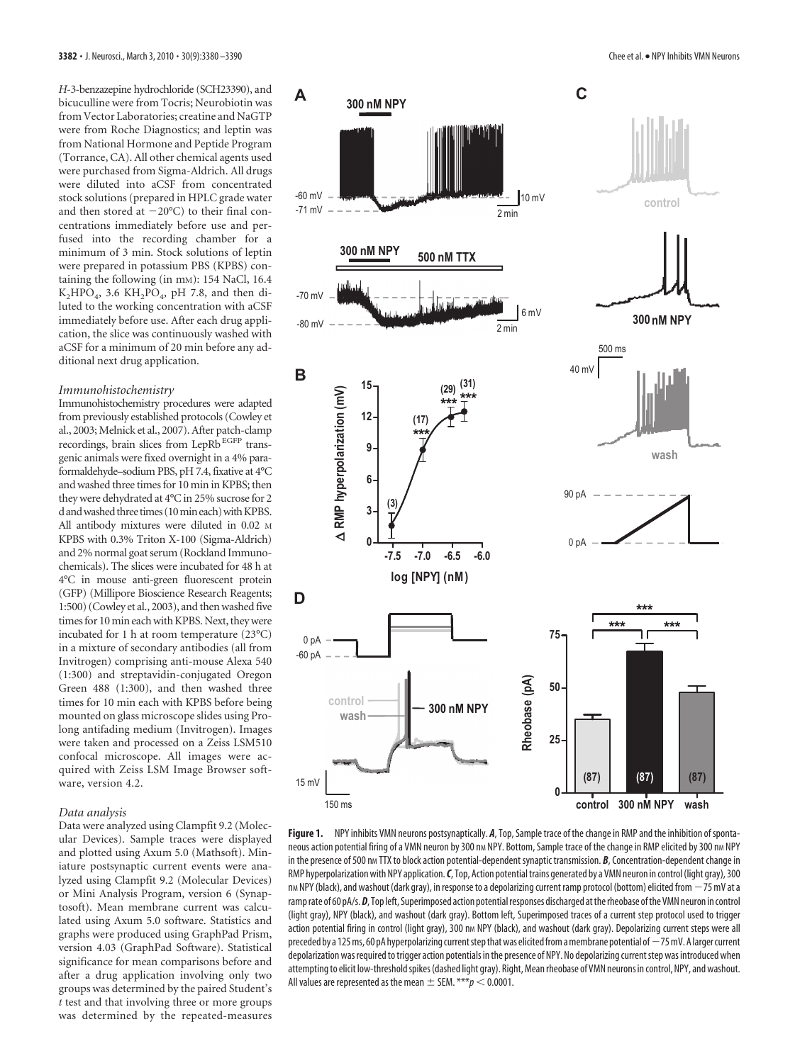*H*-3-benzazepine hydrochloride (SCH23390), and bicuculline were from Tocris; Neurobiotin was from Vector Laboratories; creatine and NaGTP were from Roche Diagnostics; and leptin was from National Hormone and Peptide Program (Torrance, CA). All other chemical agents used were purchased from Sigma-Aldrich. All drugs were diluted into aCSF from concentrated stock solutions (prepared in HPLC grade water and then stored at  $-20^{\circ}$ C) to their final concentrations immediately before use and perfused into the recording chamber for a minimum of 3 min. Stock solutions of leptin were prepared in potassium PBS (KPBS) containing the following (in mm): 154 NaCl, 16.4  $K_2HPO_4$ , 3.6  $KH_2PO_4$ , pH 7.8, and then diluted to the working concentration with aCSF immediately before use. After each drug application, the slice was continuously washed with aCSF for a minimum of 20 min before any additional next drug application.

#### *Immunohistochemistry*

Immunohistochemistry procedures were adapted from previously established protocols (Cowley et al., 2003; Melnick et al., 2007). After patch-clamp recordings, brain slices from LepRb<sup>EGFP</sup> transgenic animals were fixed overnight in a 4% paraformaldehyde–sodium PBS, pH 7.4, fixative at 4°C and washed three times for 10 min in KPBS; then they were dehydrated at 4°C in 25% sucrose for 2 d and washed three times (10 min each) with KPBS. All antibody mixtures were diluted in 0.02 M KPBS with 0.3% Triton X-100 (Sigma-Aldrich) and 2% normal goat serum (Rockland Immunochemicals). The slices were incubated for 48 h at 4°C in mouse anti-green fluorescent protein (GFP) (Millipore Bioscience Research Reagents; 1:500) (Cowley et al., 2003), and then washed five times for 10 min each with KPBS. Next, they were incubated for 1 h at room temperature (23°C) in a mixture of secondary antibodies (all from Invitrogen) comprising anti-mouse Alexa 540 (1:300) and streptavidin-conjugated Oregon Green 488 (1:300), and then washed three times for 10 min each with KPBS before being mounted on glass microscope slides using Prolong antifading medium (Invitrogen). Images were taken and processed on a Zeiss LSM510 confocal microscope. All images were acquired with Zeiss LSM Image Browser software, version 4.2.

#### *Data analysis*

Data were analyzed using Clampfit 9.2 (Molecular Devices). Sample traces were displayed and plotted using Axum 5.0 (Mathsoft). Miniature postsynaptic current events were analyzed using Clampfit 9.2 (Molecular Devices) or Mini Analysis Program, version 6 (Synaptosoft). Mean membrane current was calculated using Axum 5.0 software. Statistics and graphs were produced using GraphPad Prism, version 4.03 (GraphPad Software). Statistical significance for mean comparisons before and after a drug application involving only two groups was determined by the paired Student's *t* test and that involving three or more groups was determined by the repeated-measures



**Figure 1.** NPY inhibits VMN neurons postsynaptically. *A*, Top, Sample trace of the change in RMP and the inhibition ofspontaneous action potential firing of a VMN neuron by 300 nm NPY. Bottom, Sample trace of the change in RMP elicited by 300 nm NPY in the presence of 500 nm TTX to block action potential-dependent synaptic transmission. *B*, Concentration-dependent change in RMP hyperpolarization with NPY application. C, Top, Action potential trains generated by a VMN neuron in control (light gray), 300 nm NPY (black), and washout (dark gray), in response to a depolarizing current ramp protocol (bottom) elicited from  $-75$  mV at a ramprate of 60 pA/s. *D*, Top left, Superimposed action potential responses discharged at the rheobase of the VMN neuron in control (light gray), NPY (black), and washout (dark gray). Bottom left, Superimposed traces of a current step protocol used to trigger action potential firing in control (light gray), 300 nm NPY (black), and washout (dark gray). Depolarizing current steps were all preceded by a 125 ms, 60 pA hyperpolarizing current step that was elicited from a membrane potential of  $-75$  mV. A larger current depolarization was required to trigger action potentials in the presence of NPY. No depolarizing current step was introduced when attemptingto elicit low-thresholdspikes(dashed light gray). Right, Meanrheobase of VMN neurons in control, NPY, and washout. All values are represented as the mean  $\pm$  SEM.  $***p$  < 0.0001.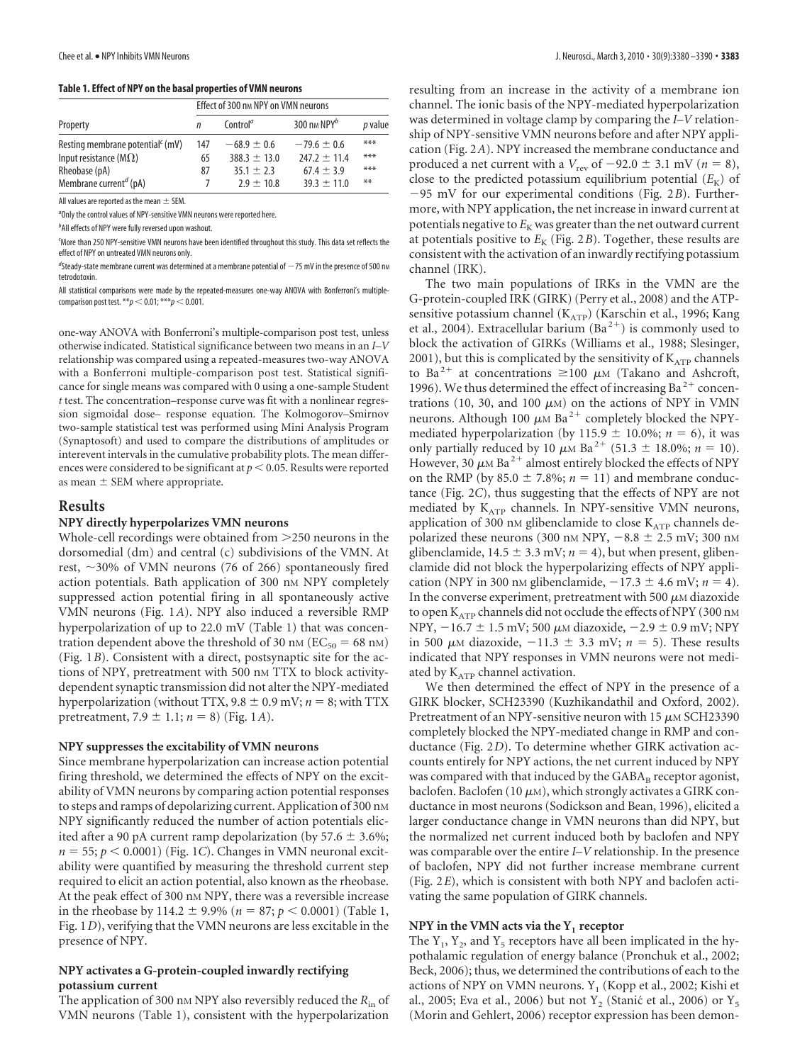#### **Table 1. Effect of NPY on the basal properties of VMN neurons**

|                                              | Effect of 300 nm NPY on VMN neurons |                      |                 |           |
|----------------------------------------------|-------------------------------------|----------------------|-----------------|-----------|
| Property                                     | n                                   | Control <sup>a</sup> | 300 nm $NPY^b$  | $p$ value |
| Resting membrane potential <sup>c</sup> (mV) | 147                                 | $-68.9 \pm 0.6$      | $-79.6 \pm 0.6$ | ***       |
| Input resistance ( $M\Omega$ )               | 65                                  | $388.3 + 13.0$       | $747.7 + 11.4$  | ***       |
| Rheobase (pA)                                | 87                                  | $35.1 + 2.3$         | $67.4 \pm 3.9$  | ***       |
| Membrane current <sup>d</sup> (pA)           | 7                                   | $7.9 + 10.8$         | $39.3 \pm 11.0$ | **        |

All values are reported as the mean  $\pm$  SEM.

*a* Only the control values of NPY-sensitive VMN neurons were reported here.

*b* All effects of NPY were fully reversed upon washout.

*c* More than 250 NPY-sensitive VMN neurons have been identified throughout this study. This data set reflects the effect of NPY on untreated VMN neurons only.

<sup>d</sup>Steady-state membrane current was determined at a membrane potential of  $-$  75 mV in the presence of 500 nm tetrodotoxin.

All statistical comparisons were made by the repeated-measures one-way ANOVA with Bonferroni's multiplecomparison post test. \*\* $p < 0.01$ ; \*\*\* $p < 0.001$ .

one-way ANOVA with Bonferroni's multiple-comparison post test, unless otherwise indicated. Statistical significance between two means in an *I*–*V* relationship was compared using a repeated-measures two-way ANOVA with a Bonferroni multiple-comparison post test. Statistical significance for single means was compared with 0 using a one-sample Student *t* test. The concentration–response curve was fit with a nonlinear regression sigmoidal dose– response equation. The Kolmogorov–Smirnov two-sample statistical test was performed using Mini Analysis Program (Synaptosoft) and used to compare the distributions of amplitudes or interevent intervals in the cumulative probability plots. The mean differences were considered to be significant at  $p < 0.05$ . Results were reported as mean  $\pm$  SEM where appropriate.

#### **Results**

#### **NPY directly hyperpolarizes VMN neurons**

Whole-cell recordings were obtained from 250 neurons in the dorsomedial (dm) and central (c) subdivisions of the VMN. At rest,  $\sim$ 30% of VMN neurons (76 of 266) spontaneously fired action potentials. Bath application of 300 nm NPY completely suppressed action potential firing in all spontaneously active VMN neurons (Fig. 1*A*). NPY also induced a reversible RMP hyperpolarization of up to 22.0 mV (Table 1) that was concentration dependent above the threshold of 30 nm ( $EC_{50} = 68$  nm) (Fig. 1*B*). Consistent with a direct, postsynaptic site for the actions of NPY, pretreatment with 500 nm TTX to block activitydependent synaptic transmission did not alter the NPY-mediated hyperpolarization (without TTX,  $9.8 \pm 0.9$  mV;  $n = 8$ ; with TTX pretreatment,  $7.9 \pm 1.1$ ;  $n = 8$ ) (Fig. 1*A*).

#### **NPY suppresses the excitability of VMN neurons**

Since membrane hyperpolarization can increase action potential firing threshold, we determined the effects of NPY on the excitability of VMN neurons by comparing action potential responses to steps and ramps of depolarizing current. Application of 300 nm NPY significantly reduced the number of action potentials elicited after a 90 pA current ramp depolarization (by 57.6  $\pm$  3.6%;  $n = 55$ ;  $p < 0.0001$ ) (Fig. 1*C*). Changes in VMN neuronal excitability were quantified by measuring the threshold current step required to elicit an action potential, also known as the rheobase. At the peak effect of 300 nM NPY, there was a reversible increase in the rheobase by 114.2  $\pm$  9.9% ( $n = 87$ ;  $p < 0.0001$ ) (Table 1, Fig. 1*D*), verifying that the VMN neurons are less excitable in the presence of NPY.

## **NPY activates a G-protein-coupled inwardly rectifying potassium current**

The application of 300 nm NPY also reversibly reduced the  $R_{\text{in}}$  of VMN neurons (Table 1), consistent with the hyperpolarization

resulting from an increase in the activity of a membrane ion channel. The ionic basis of the NPY-mediated hyperpolarization was determined in voltage clamp by comparing the *I*–*V* relationship of NPY-sensitive VMN neurons before and after NPY application (Fig. 2*A*). NPY increased the membrane conductance and produced a net current with a  $V_{\text{rev}}$  of  $-92.0 \pm 3.1$  mV ( $n = 8$ ), close to the predicted potassium equilibrium potential  $(E_K)$  of 95 mV for our experimental conditions (Fig. 2*B*). Furthermore, with NPY application, the net increase in inward current at potentials negative to  $E_K$  was greater than the net outward current at potentials positive to  $E_K$  (Fig. 2*B*). Together, these results are consistent with the activation of an inwardly rectifying potassium channel (IRK).

The two main populations of IRKs in the VMN are the G-protein-coupled IRK (GIRK) (Perry et al., 2008) and the ATPsensitive potassium channel  $(K<sub>ATP</sub>)$  (Karschin et al., 1996; Kang et al., 2004). Extracellular barium  $(Ba^{2+})$  is commonly used to block the activation of GIRKs (Williams et al., 1988; Slesinger, 2001), but this is complicated by the sensitivity of  $K_{ATP}$  channels to Ba<sup>2+</sup> at concentrations  $\geq$ 100  $\mu$ M (Takano and Ashcroft, 1996). We thus determined the effect of increasing Ba<sup>2+</sup> concentrations (10, 30, and 100  $\mu$ M) on the actions of NPY in VMN neurons. Although 100  $\mu$ M Ba<sup>2+</sup> completely blocked the NPYmediated hyperpolarization (by 115.9  $\pm$  10.0%; *n* = 6), it was only partially reduced by 10  $\mu$ <sub>M</sub> Ba<sup>2+</sup> (51.3  $\pm$  18.0%; *n* = 10). However, 30  $\mu$ M Ba<sup>2+</sup> almost entirely blocked the effects of NPY on the RMP (by  $85.0 \pm 7.8\%$ ;  $n = 11$ ) and membrane conductance (Fig. 2*C*), thus suggesting that the effects of NPY are not mediated by  $K_{ATP}$  channels. In NPY-sensitive VMN neurons, application of 300 nm glibenclamide to close  $K_{ATP}$  channels depolarized these neurons (300 nm NPY,  $-8.8 \pm 2.5$  mV; 300 nm glibenclamide,  $14.5 \pm 3.3$  mV;  $n = 4$ ), but when present, glibenclamide did not block the hyperpolarizing effects of NPY application (NPY in 300 nm glibenclamide,  $-17.3 \pm 4.6$  mV;  $n = 4$ ). In the converse experiment, pretreatment with 500  $\mu$ M diazoxide to open  $K<sub>ATP</sub>$  channels did not occlude the effects of NPY (300 nm NPY,  $-16.7 \pm 1.5$  mV; 500  $\mu$ M diazoxide,  $-2.9 \pm 0.9$  mV; NPY in 500  $\mu$ M diazoxide,  $-11.3 \pm 3.3$  mV;  $n = 5$ ). These results indicated that NPY responses in VMN neurons were not mediated by  $K_{ATP}$  channel activation.

We then determined the effect of NPY in the presence of a GIRK blocker, SCH23390 (Kuzhikandathil and Oxford, 2002). Pretreatment of an NPY-sensitive neuron with 15  $\mu$ M SCH23390 completely blocked the NPY-mediated change in RMP and conductance (Fig. 2*D*). To determine whether GIRK activation accounts entirely for NPY actions, the net current induced by NPY was compared with that induced by the GABA<sub>B</sub> receptor agonist, baclofen. Baclofen (10  $\mu$ m), which strongly activates a GIRK conductance in most neurons (Sodickson and Bean, 1996), elicited a larger conductance change in VMN neurons than did NPY, but the normalized net current induced both by baclofen and NPY was comparable over the entire *I*–*V* relationship. In the presence of baclofen, NPY did not further increase membrane current (Fig. 2*E*), which is consistent with both NPY and baclofen activating the same population of GIRK channels.

## **NPY** in the VMN acts via the  $Y_1$  receptor

The  $Y_1$ ,  $Y_2$ , and  $Y_5$  receptors have all been implicated in the hypothalamic regulation of energy balance (Pronchuk et al., 2002; Beck, 2006); thus, we determined the contributions of each to the actions of NPY on VMN neurons.  $Y_1$  (Kopp et al., 2002; Kishi et al., 2005; Eva et al., 2006) but not  $Y_2$  (Stanić et al., 2006) or  $Y_5$ (Morin and Gehlert, 2006) receptor expression has been demon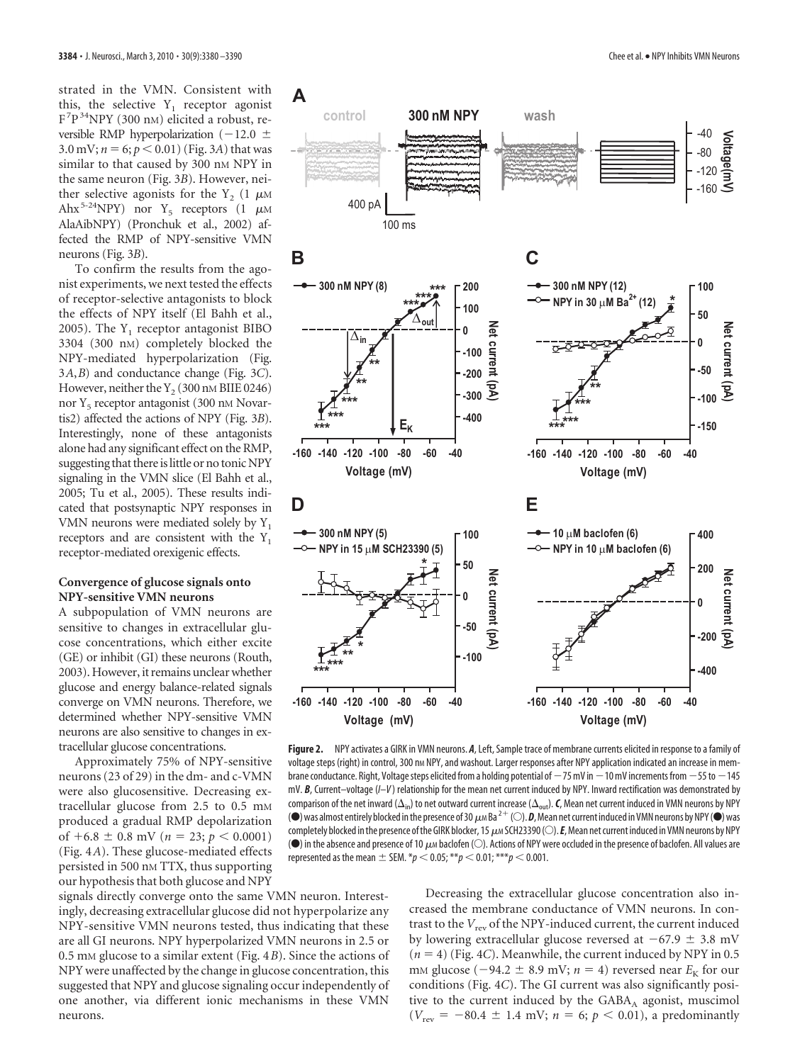strated in the VMN. Consistent with this, the selective  $Y_1$  receptor agonist F7 P34NPY (300 nM) elicited a robust, reversible RMP hyperpolarization ( $-12.0 \pm$ 3.0 mV;  $n = 6$ ;  $p < 0.01$ ) (Fig. 3*A*) that was similar to that caused by 300 nm NPY in the same neuron (Fig. 3*B*). However, neither selective agonists for the Y<sub>2</sub> (1  $\mu$ M Ahx<sup>5-24</sup>NPY) nor  $Y_5$  receptors (1  $\mu$ M AlaAibNPY) (Pronchuk et al., 2002) affected the RMP of NPY-sensitive VMN neurons (Fig. 3*B*).

To confirm the results from the agonist experiments, we next tested the effects of receptor-selective antagonists to block the effects of NPY itself (El Bahh et al., 2005). The  $Y_1$  receptor antagonist BIBO 3304 (300 nM) completely blocked the NPY-mediated hyperpolarization (Fig. 3*A*,*B*) and conductance change (Fig. 3*C*). However, neither the  $Y_2$  (300 nM BIIE 0246) nor  $Y_5$  receptor antagonist (300 nm Novartis2) affected the actions of NPY (Fig. 3*B*). Interestingly, none of these antagonists alone had any significant effect on the RMP, suggesting that there is little or no tonic NPY signaling in the VMN slice (El Bahh et al., 2005; Tu et al., 2005). These results indicated that postsynaptic NPY responses in VMN neurons were mediated solely by  $Y_1$ receptors and are consistent with the  $Y_1$ receptor-mediated orexigenic effects.

## **Convergence of glucose signals onto NPY-sensitive VMN neurons**

A subpopulation of VMN neurons are sensitive to changes in extracellular glucose concentrations, which either excite (GE) or inhibit (GI) these neurons (Routh, 2003). However, it remains unclear whether glucose and energy balance-related signals converge on VMN neurons. Therefore, we determined whether NPY-sensitive VMN neurons are also sensitive to changes in extracellular glucose concentrations.

Approximately 75% of NPY-sensitive neurons (23 of 29) in the dm- and c-VMN were also glucosensitive. Decreasing extracellular glucose from 2.5 to 0.5 mm produced a gradual RMP depolarization of  $+6.8 \pm 0.8$  mV ( $n = 23$ ;  $p < 0.0001$ ) (Fig. 4*A*). These glucose-mediated effects persisted in 500 nM TTX, thus supporting our hypothesis that both glucose and NPY



**Figure 2.** NPY activates a GIRK in VMN neurons. *A*, Left, Sample trace of membrane currents elicited in response to a family of voltage steps (right) in control, 300 nm NPY, and washout. Larger responses after NPY application indicated an increase in membrane conductance. Right, Voltage steps elicited from a holding potential of  $-75$  mV in $-10$  mV increments from  $-55$  to  $-145$ mV. *B*, Current–voltage (*I*–*V* ) relationship for the mean net current induced by NPY. Inward rectification was demonstrated by comparison of the net inward ( $\Delta_{\rm in}$ ) to net outward current increase ( $\Delta_{\rm out}$ ). **C**, Mean net current induced in VMN neurons by NPY ( $\bullet$ ) was almost entirely blocked in the presence of 30  $\mu$ m Ba<sup>2+</sup> ( $\circ$ ). **D**, Mean net current induced in VMN neurons by NPY ( $\bullet$ ) was completely blocked in the presence of the GIRK blocker, 15  $\mu$ M SCH23390 (O). E, Mean net current induced in VMN neurons by NPY ( $\bullet$ ) in the absence and presence of 10  $\mu$ m baclofen ( $\odot$ ). Actions of NPY were occluded in the presence of baclofen. All values are represented as the mean  $\pm$  SEM.  $*p < 0.05; **p < 0.01; ***p < 0.001$ .

signals directly converge onto the same VMN neuron. Interestingly, decreasing extracellular glucose did not hyperpolarize any NPY-sensitive VMN neurons tested, thus indicating that these are all GI neurons. NPY hyperpolarized VMN neurons in 2.5 or 0.5 mM glucose to a similar extent (Fig. 4*B*). Since the actions of NPY were unaffected by the change in glucose concentration, this suggested that NPY and glucose signaling occur independently of one another, via different ionic mechanisms in these VMN neurons.

Decreasing the extracellular glucose concentration also increased the membrane conductance of VMN neurons. In contrast to the  $V_{rev}$  of the NPY-induced current, the current induced by lowering extracellular glucose reversed at  $-67.9 \pm 3.8$  mV  $(n = 4)$  (Fig. 4*C*). Meanwhile, the current induced by NPY in 0.5 mm glucose ( $-94.2 \pm 8.9$  mV;  $n = 4$ ) reversed near  $E_K$  for our conditions (Fig. 4*C*). The GI current was also significantly positive to the current induced by the GABA<sub>A</sub> agonist, muscimol  $(V_{\text{rev}} = -80.4 \pm 1.4 \text{ mV}; n = 6; p < 0.01)$ , a predominantly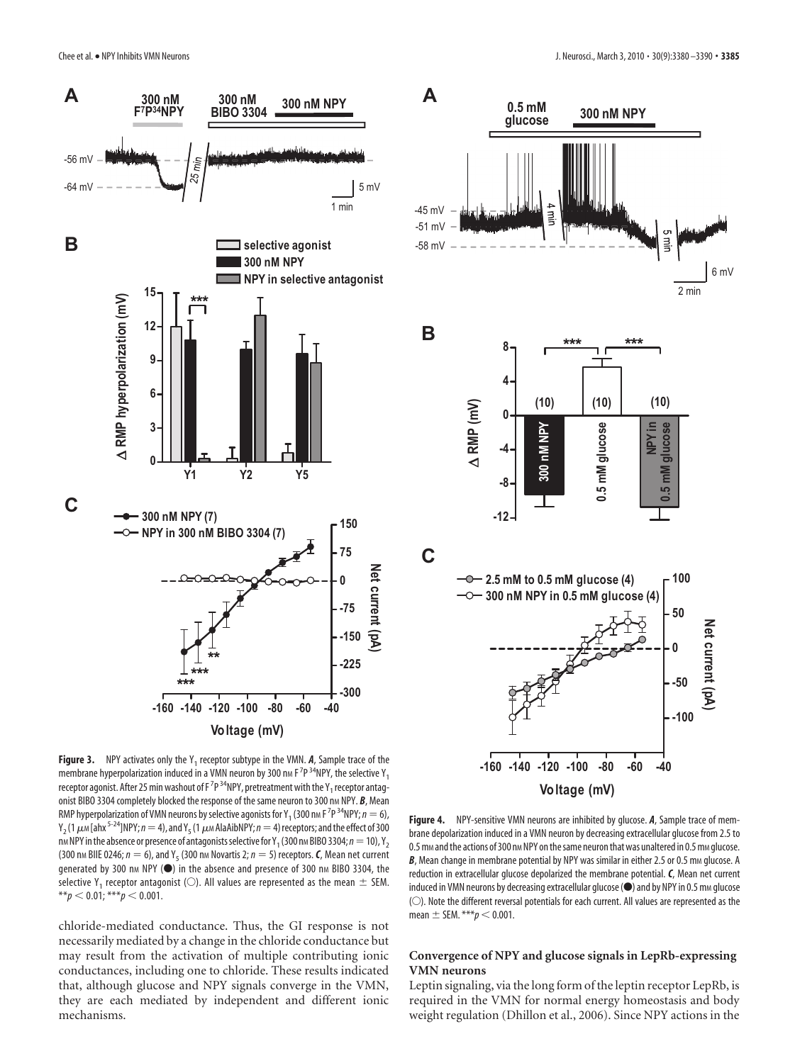



**Figure 3.** NPY activates only the Y<sub>1</sub> receptor subtype in the VMN.  $A$ , Sample trace of the membrane hyperpolarization induced in a VMN neuron by 300 nm F<sup>7</sup>P<sup>34</sup>NPY, the selective Y<sub>1</sub> receptor agonist. After 25 min washout of F  $^{7}{\rm P}$  <sup>34</sup>NPY, pretreatment with the Y<sub>1</sub> receptor antagonist BIBO 3304 completely blocked the response of the same neuron to 300 nm NPY. **B**, Mean RMP hyperpolarization of VMN neurons by selective agonists for Y<sub>1</sub> (300 nm F <sup>7</sup>P <sup>34</sup>NPY;  $n = 6$ ),  $Y_2$ (1  $\mu$ <sub>M</sub> [ahx<sup>5-24</sup>]NPY;  $n=4$ ), and Y<sub>5</sub> (1  $\mu$ M AlaAibNPY;  $n=4$ ) receptors; and the effect of 300 nm NPY in the absence or presence of antagonists selective for Y<sub>1</sub> (300 nm BIBO 3304;  $n = 10$ ), Y<sub>2</sub> (300 nm BIIE 0246;  $n = 6$ ), and Y<sub>5</sub> (300 nm Novartis 2;  $n = 5$ ) receptors. C, Mean net current generated by 300 nm NPY (<sup>\*</sup>) in the absence and presence of 300 nm BIBO 3304, the selective Y<sub>1</sub> receptor antagonist ( $\circlearrowright$ ). All values are represented as the mean  $\pm$  SEM.  $**p < 0.01$ ; \*\*\**p*  $< 0.001$ .

chloride-mediated conductance. Thus, the GI response is not necessarily mediated by a change in the chloride conductance but may result from the activation of multiple contributing ionic conductances, including one to chloride. These results indicated that, although glucose and NPY signals converge in the VMN, they are each mediated by independent and different ionic mechanisms.

**Figure 4.** NPY-sensitive VMN neurons are inhibited by glucose. *A*, Sample trace of membrane depolarization induced in a VMN neuron by decreasing extracellular glucose from 2.5 to 0.5 mm and the actions of 300 nm NPY on the same neuron that was unaltered in 0.5 mm glucose. **B**, Mean change in membrane potential by NPY was similar in either 2.5 or 0.5 mm glucose. A reduction in extracellular glucose depolarized the membrane potential. *C*, Mean net current induced in VMN neurons by decreasing extracellular glucose ( $\bullet$ ) and by NPY in 0.5 mm glucose (O). Note the different reversal potentials for each current. All values are represented as the mean  $\pm$  SEM. \*\*\* $p$  < 0.001.

## **Convergence of NPY and glucose signals in LepRb-expressing VMN neurons**

Leptin signaling, via the long form of the leptin receptor LepRb, is required in the VMN for normal energy homeostasis and body weight regulation (Dhillon et al., 2006). Since NPY actions in the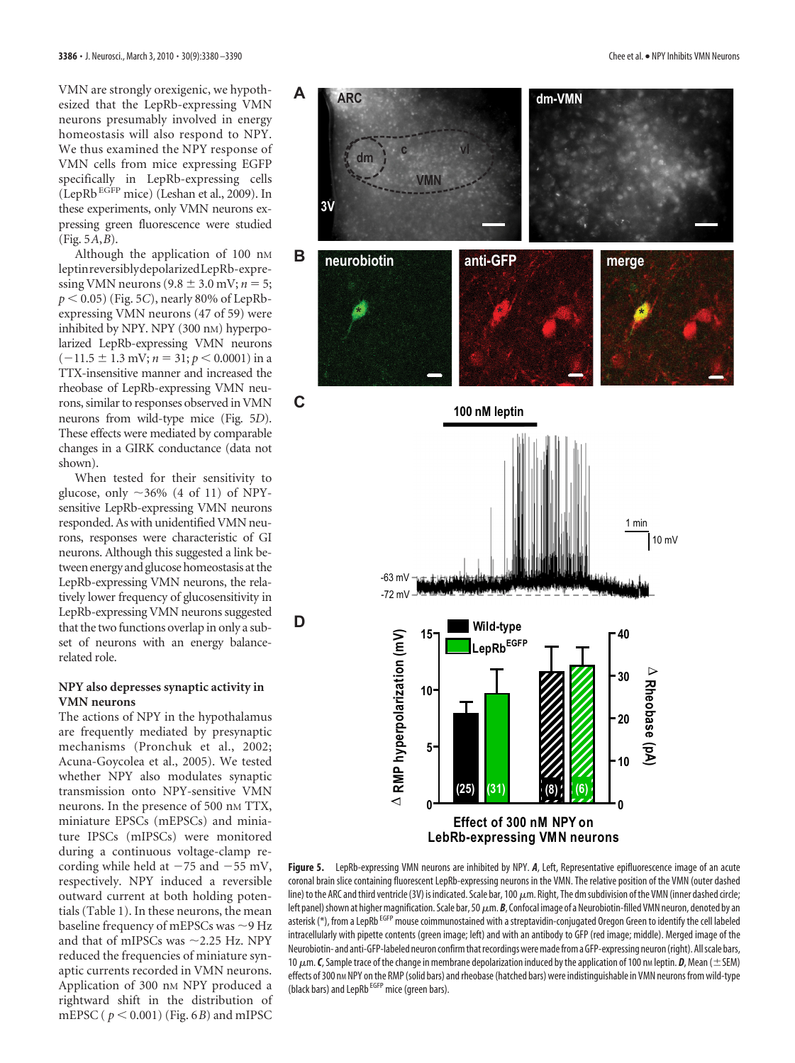VMN are strongly orexigenic, we hypothesized that the LepRb-expressing VMN neurons presumably involved in energy homeostasis will also respond to NPY. We thus examined the NPY response of VMN cells from mice expressing EGFP specifically in LepRb-expressing cells (LepRb EGFP mice) (Leshan et al., 2009). In these experiments, only VMN neurons expressing green fluorescence were studied (Fig. 5*A*,*B*).

Although the application of 100 nM leptinreversiblydepolarizedLepRb-expressing VMN neurons  $(9.8 \pm 3.0 \,\text{mV}; n = 5;$  $p < 0.05$ ) (Fig. 5*C*), nearly 80% of LepRbexpressing VMN neurons (47 of 59) were inhibited by NPY. NPY (300 nM) hyperpolarized LepRb-expressing VMN neurons  $(-11.5 \pm 1.3 \text{ mV}; n = 31; p < 0.0001)$  in a TTX-insensitive manner and increased the rheobase of LepRb-expressing VMN neurons, similar to responses observed in VMN neurons from wild-type mice (Fig. 5*D*). These effects were mediated by comparable changes in a GIRK conductance (data not shown).

When tested for their sensitivity to glucose, only  $\sim$ 36% (4 of 11) of NPYsensitive LepRb-expressing VMN neurons responded. As with unidentified VMN neurons, responses were characteristic of GI neurons. Although this suggested a link between energy and glucose homeostasis at the LepRb-expressing VMN neurons, the relatively lower frequency of glucosensitivity in LepRb-expressing VMN neurons suggested that the two functions overlap in only a subset of neurons with an energy balancerelated role.

## **NPY also depresses synaptic activity in VMN neurons**

The actions of NPY in the hypothalamus are frequently mediated by presynaptic mechanisms (Pronchuk et al., 2002; Acuna-Goycolea et al., 2005). We tested whether NPY also modulates synaptic transmission onto NPY-sensitive VMN neurons. In the presence of 500 nm TTX, miniature EPSCs (mEPSCs) and miniature IPSCs (mIPSCs) were monitored during a continuous voltage-clamp recording while held at  $-75$  and  $-55$  mV, respectively. NPY induced a reversible outward current at both holding potentials (Table 1). In these neurons, the mean baseline frequency of mEPSCs was  $\sim$ 9 Hz and that of mIPSCs was  $\sim$  2.25 Hz. NPY reduced the frequencies of miniature synaptic currents recorded in VMN neurons. Application of 300 nM NPY produced a rightward shift in the distribution of mEPSC ( $p < 0.001$ ) (Fig. 6*B*) and mIPSC



**LebRb-expressing VMN neurons**

**Figure 5.** LepRb-expressing VMN neurons are inhibited by NPY. *A*, Left, Representative epifluorescence image of an acute coronal brain slice containing fluorescent LepRb-expressing neurons in the VMN. The relative position of the VMN (outer dashed line) to the ARC and third ventricle (3V) is indicated. Scale bar, 100  $\mu$ m. Right, The dm subdivision of the VMN (inner dashed circle; left panel) shown at higher magnification. Scale bar, 50  $\mu$ m. **B**, Confocal image of a Neurobiotin-filled VMN neuron, denoted by an asterisk (\*), from a LepRb <sup>EGFP</sup> mouse coimmunostained with a streptavidin-conjugated Oregon Green to identify the cell labeled intracellularly with pipette contents (green image; left) and with an antibody to GFP (red image; middle). Merged image of the Neurobiotin- and anti-GFP-labeled neuron confirm that recordings were made from a GFP-expressing neuron (right). All scale bars, 10  $\mu$ m. **C**, Sample trace of the change in membrane depolarization induced by the application of 100 nm leptin. **D**, Mean ( $\pm$  SEM) effects of 300 nm NPY on the RMP (solid bars) and rheobase (hatched bars) were indistinguishable in VMN neurons from wild-type (black bars) and LepRb<sup>EGFP</sup> mice (green bars).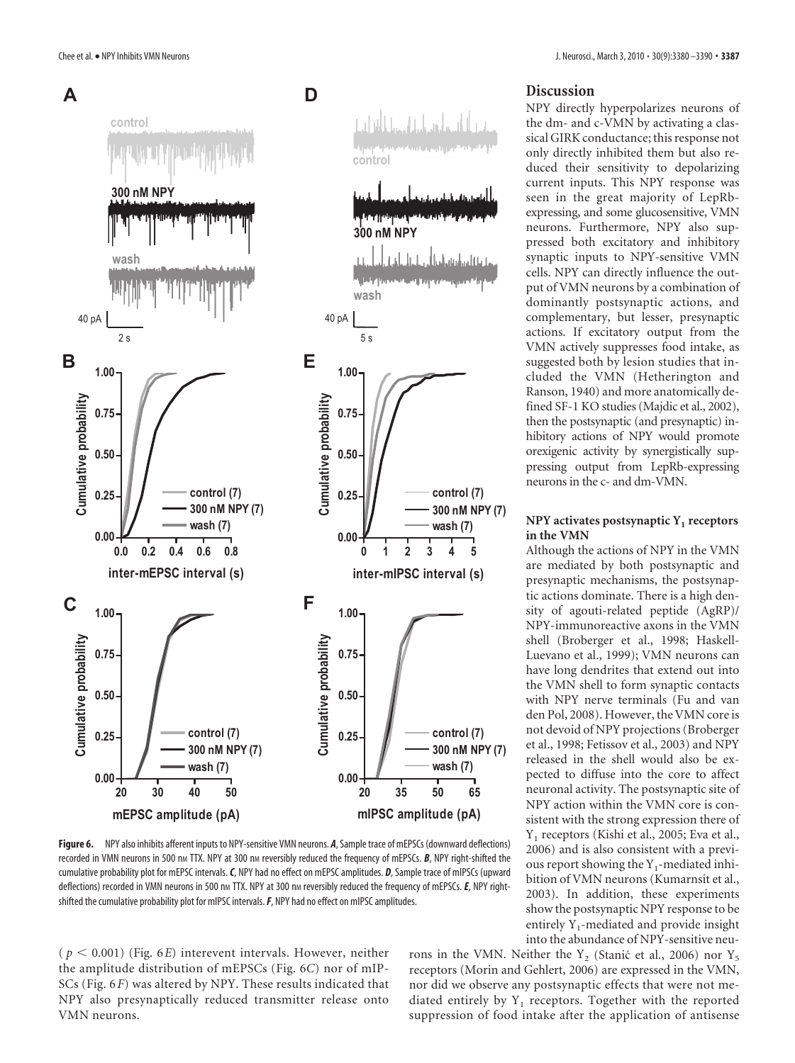

**Figure 6.** NPY also inhibits afferent inputs to NPY-sensitive VMN neurons. *A*, Sample trace of mEPSCs (downward deflections) recorded in VMN neurons in 500 nm TTX. NPY at 300 nm reversibly reduced the frequency of mEPSCs. **B**, NPY right-shifted the cumulative probability plot for mEPSC intervals.*C*, NPY had no effect on mEPSC amplitudes. *D*, Sample trace of mIPSCs (upward deflections) recorded in VMN neurons in 500 nm TTX. NPY at 300 nm reversibly reduced the frequency of mEPSCs. *E*, NPY rightshifted the cumulative probability plot for mIPSC intervals.*F*, NPY had no effect on mIPSC amplitudes.

 $(p < 0.001)$  (Fig. 6*E*) interevent intervals. However, neither the amplitude distribution of mEPSCs (Fig. 6*C*) nor of mIP-SCs (Fig. 6*F*) was altered by NPY. These results indicated that NPY also presynaptically reduced transmitter release onto VMN neurons.

## **Discussion**

NPY directly hyperpolarizes neurons of the dm- and c-VMN by activating a classical GIRK conductance; this response not only directly inhibited them but also reduced their sensitivity to depolarizing current inputs. This NPY response was seen in the great majority of LepRbexpressing, and some glucosensitive, VMN neurons. Furthermore, NPY also suppressed both excitatory and inhibitory synaptic inputs to NPY-sensitive VMN cells. NPY can directly influence the output of VMN neurons by a combination of dominantly postsynaptic actions, and complementary, but lesser, presynaptic actions. If excitatory output from the VMN actively suppresses food intake, as suggested both by lesion studies that included the VMN (Hetherington and Ranson, 1940) and more anatomically defined SF-1 KO studies (Majdic et al., 2002), then the postsynaptic (and presynaptic) inhibitory actions of NPY would promote orexigenic activity by synergistically suppressing output from LepRb-expressing neurons in the c- and dm-VMN.

## **NPY** activates postsynaptic Y<sub>1</sub> receptors **in the VMN**

Although the actions of NPY in the VMN are mediated by both postsynaptic and presynaptic mechanisms, the postsynaptic actions dominate. There is a high density of agouti-related peptide (AgRP)/ NPY-immunoreactive axons in the VMN shell (Broberger et al., 1998; Haskell-Luevano et al., 1999); VMN neurons can have long dendrites that extend out into the VMN shell to form synaptic contacts with NPY nerve terminals (Fu and van den Pol, 2008). However, the VMN core is not devoid of NPY projections (Broberger et al., 1998; Fetissov et al., 2003) and NPY released in the shell would also be expected to diffuse into the core to affect neuronal activity. The postsynaptic site of NPY action within the VMN core is consistent with the strong expression there of Y1 receptors (Kishi et al., 2005; Eva et al., 2006) and is also consistent with a previous report showing the  $Y_1$ -mediated inhibition of VMN neurons (Kumarnsit et al., 2003). In addition, these experiments show the postsynaptic NPY response to be entirely  $Y_1$ -mediated and provide insight into the abundance of NPY-sensitive neu-

rons in the VMN. Neither the Y<sub>2</sub> (Stanic´ et al., 2006) nor Y<sub>5</sub> receptors (Morin and Gehlert, 2006) are expressed in the VMN, nor did we observe any postsynaptic effects that were not mediated entirely by  $Y_1$  receptors. Together with the reported suppression of food intake after the application of antisense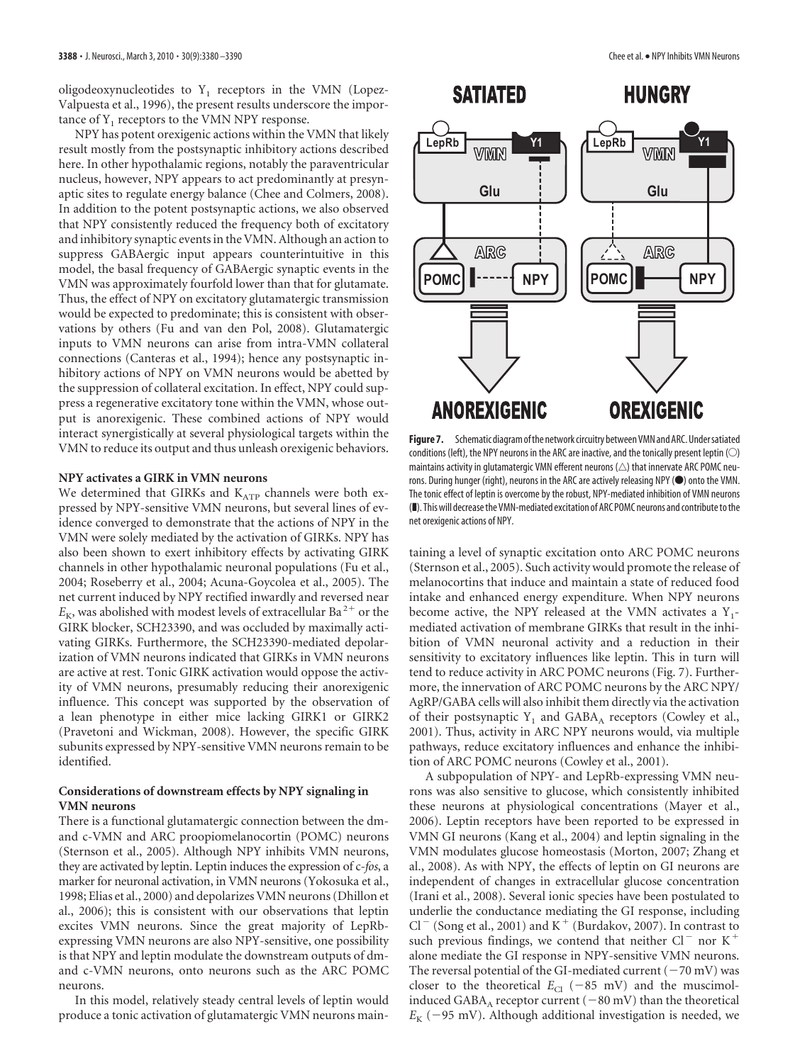oligodeoxynucleotides to  $Y_1$  receptors in the VMN (Lopez-Valpuesta et al., 1996), the present results underscore the importance of  $Y_1$  receptors to the VMN NPY response.

NPY has potent orexigenic actions within the VMN that likely result mostly from the postsynaptic inhibitory actions described here. In other hypothalamic regions, notably the paraventricular nucleus, however, NPY appears to act predominantly at presynaptic sites to regulate energy balance (Chee and Colmers, 2008). In addition to the potent postsynaptic actions, we also observed that NPY consistently reduced the frequency both of excitatory and inhibitory synaptic events in the VMN. Although an action to suppress GABAergic input appears counterintuitive in this model, the basal frequency of GABAergic synaptic events in the VMN was approximately fourfold lower than that for glutamate. Thus, the effect of NPY on excitatory glutamatergic transmission would be expected to predominate; this is consistent with observations by others (Fu and van den Pol, 2008). Glutamatergic inputs to VMN neurons can arise from intra-VMN collateral connections (Canteras et al., 1994); hence any postsynaptic inhibitory actions of NPY on VMN neurons would be abetted by the suppression of collateral excitation. In effect, NPY could suppress a regenerative excitatory tone within the VMN, whose output is anorexigenic. These combined actions of NPY would interact synergistically at several physiological targets within the VMN to reduce its output and thus unleash orexigenic behaviors.

#### **NPY activates a GIRK in VMN neurons**

We determined that GIRKs and  $K_{ATP}$  channels were both expressed by NPY-sensitive VMN neurons, but several lines of evidence converged to demonstrate that the actions of NPY in the VMN were solely mediated by the activation of GIRKs. NPY has also been shown to exert inhibitory effects by activating GIRK channels in other hypothalamic neuronal populations (Fu et al., 2004; Roseberry et al., 2004; Acuna-Goycolea et al., 2005). The net current induced by NPY rectified inwardly and reversed near  $E_K$ , was abolished with modest levels of extracellular Ba<sup>2+</sup> or the GIRK blocker, SCH23390, and was occluded by maximally activating GIRKs. Furthermore, the SCH23390-mediated depolarization of VMN neurons indicated that GIRKs in VMN neurons are active at rest. Tonic GIRK activation would oppose the activity of VMN neurons, presumably reducing their anorexigenic influence. This concept was supported by the observation of a lean phenotype in either mice lacking GIRK1 or GIRK2 (Pravetoni and Wickman, 2008). However, the specific GIRK subunits expressed by NPY-sensitive VMN neurons remain to be identified.

## **Considerations of downstream effects by NPY signaling in VMN neurons**

There is a functional glutamatergic connection between the dmand c-VMN and ARC proopiomelanocortin (POMC) neurons (Sternson et al., 2005). Although NPY inhibits VMN neurons, they are activated by leptin. Leptin induces the expression of c-*fos*, a marker for neuronal activation, in VMN neurons (Yokosuka et al., 1998; Elias et al., 2000) and depolarizes VMN neurons (Dhillon et al., 2006); this is consistent with our observations that leptin excites VMN neurons. Since the great majority of LepRbexpressing VMN neurons are also NPY-sensitive, one possibility is that NPY and leptin modulate the downstream outputs of dmand c-VMN neurons, onto neurons such as the ARC POMC neurons.

In this model, relatively steady central levels of leptin would produce a tonic activation of glutamatergic VMN neurons main-

## **SATIATED**

**HUNGRY** 



**Figure 7.** Schematic diagram of the network circuitry between VMN and ARC. Under satiated conditions (left), the NPY neurons in the ARC are inactive, and the tonically present leptin  $\circlearrowright$ maintains activity in glutamatergic VMN efferent neurons  $(\triangle)$  that innervate ARC POMC neurons. During hunger (right), neurons in the ARC are actively releasing NPY ( $\bullet$ ) onto the VMN. The tonic effect of leptin is overcome by the robust, NPY-mediated inhibition of VMN neurons (❚). Thiswill decreasethe VMN-mediated excitation of ARC POMC neurons and contributetothe net orexigenic actions of NPY.

taining a level of synaptic excitation onto ARC POMC neurons (Sternson et al., 2005). Such activity would promote the release of melanocortins that induce and maintain a state of reduced food intake and enhanced energy expenditure. When NPY neurons become active, the NPY released at the VMN activates a  $Y_1$ mediated activation of membrane GIRKs that result in the inhibition of VMN neuronal activity and a reduction in their sensitivity to excitatory influences like leptin. This in turn will tend to reduce activity in ARC POMC neurons (Fig. 7). Furthermore, the innervation of ARC POMC neurons by the ARC NPY/ AgRP/GABA cells will also inhibit them directly via the activation of their postsynaptic  $Y_1$  and  $GABA_A$  receptors (Cowley et al., 2001). Thus, activity in ARC NPY neurons would, via multiple pathways, reduce excitatory influences and enhance the inhibition of ARC POMC neurons (Cowley et al., 2001).

A subpopulation of NPY- and LepRb-expressing VMN neurons was also sensitive to glucose, which consistently inhibited these neurons at physiological concentrations (Mayer et al., 2006). Leptin receptors have been reported to be expressed in VMN GI neurons (Kang et al., 2004) and leptin signaling in the VMN modulates glucose homeostasis (Morton, 2007; Zhang et al., 2008). As with NPY, the effects of leptin on GI neurons are independent of changes in extracellular glucose concentration (Irani et al., 2008). Several ionic species have been postulated to underlie the conductance mediating the GI response, including  $Cl^-$  (Song et al., 2001) and K<sup>+</sup> (Burdakov, 2007). In contrast to such previous findings, we contend that neither  $Cl^-$  nor  $K^+$ alone mediate the GI response in NPY-sensitive VMN neurons. The reversal potential of the GI-mediated current  $(-70 \text{ mV})$  was closer to the theoretical  $E_{\text{Cl}}$  (-85 mV) and the muscimolinduced  $GABA_A$  receptor current  $(-80 \text{ mV})$  than the theoretical  $E_K$  (-95 mV). Although additional investigation is needed, we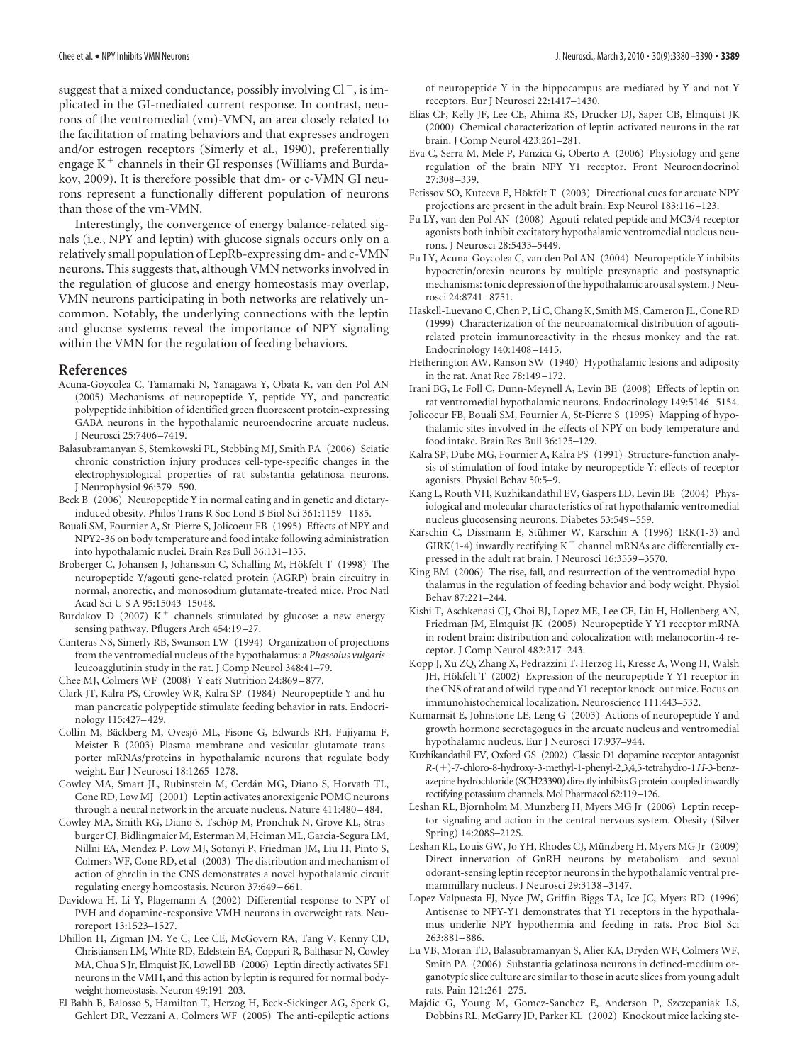suggest that a mixed conductance, possibly involving  $Cl^-$ , is implicated in the GI-mediated current response. In contrast, neurons of the ventromedial (vm)-VMN, an area closely related to the facilitation of mating behaviors and that expresses androgen and/or estrogen receptors (Simerly et al., 1990), preferentially engage  $K^+$  channels in their GI responses (Williams and Burdakov, 2009). It is therefore possible that dm- or c-VMN GI neurons represent a functionally different population of neurons than those of the vm-VMN.

Interestingly, the convergence of energy balance-related signals (i.e., NPY and leptin) with glucose signals occurs only on a relatively small population of LepRb-expressing dm- and c-VMN neurons. This suggests that, although VMN networks involved in the regulation of glucose and energy homeostasis may overlap, VMN neurons participating in both networks are relatively uncommon. Notably, the underlying connections with the leptin and glucose systems reveal the importance of NPY signaling within the VMN for the regulation of feeding behaviors.

#### **References**

- Acuna-Goycolea C, Tamamaki N, Yanagawa Y, Obata K, van den Pol AN (2005) Mechanisms of neuropeptide Y, peptide YY, and pancreatic polypeptide inhibition of identified green fluorescent protein-expressing GABA neurons in the hypothalamic neuroendocrine arcuate nucleus. J Neurosci 25:7406 –7419.
- Balasubramanyan S, Stemkowski PL, Stebbing MJ, Smith PA (2006) Sciatic chronic constriction injury produces cell-type-specific changes in the electrophysiological properties of rat substantia gelatinosa neurons. J Neurophysiol 96:579 –590.
- Beck B (2006) Neuropeptide Y in normal eating and in genetic and dietaryinduced obesity. Philos Trans R Soc Lond B Biol Sci 361:1159 –1185.
- Bouali SM, Fournier A, St-Pierre S, Jolicoeur FB (1995) Effects of NPY and NPY2-36 on body temperature and food intake following administration into hypothalamic nuclei. Brain Res Bull 36:131–135.
- Broberger C, Johansen J, Johansson C, Schalling M, Hökfelt T (1998) The neuropeptide Y/agouti gene-related protein (AGRP) brain circuitry in normal, anorectic, and monosodium glutamate-treated mice. Proc Natl Acad Sci U S A 95:15043–15048.
- Burdakov D (2007)  $K^+$  channels stimulated by glucose: a new energysensing pathway. Pflugers Arch 454:19 –27.
- Canteras NS, Simerly RB, Swanson LW (1994) Organization of projections from the ventromedial nucleus of the hypothalamus: a *Phaseolus vulgaris*leucoagglutinin study in the rat. J Comp Neurol 348:41–79.
- Chee MJ, Colmers WF (2008) Y eat? Nutrition 24:869 –877.
- Clark JT, Kalra PS, Crowley WR, Kalra SP (1984) Neuropeptide Y and human pancreatic polypeptide stimulate feeding behavior in rats. Endocrinology 115:427–429.
- Collin M, Bäckberg M, Ovesjö ML, Fisone G, Edwards RH, Fujiyama F, Meister B (2003) Plasma membrane and vesicular glutamate transporter mRNAs/proteins in hypothalamic neurons that regulate body weight. Eur J Neurosci 18:1265–1278.
- Cowley MA, Smart JL, Rubinstein M, Cerdán MG, Diano S, Horvath TL, Cone RD, Low MJ (2001) Leptin activates anorexigenic POMC neurons through a neural network in the arcuate nucleus. Nature 411:480-484.
- Cowley MA, Smith RG, Diano S, Tschöp M, Pronchuk N, Grove KL, Strasburger CJ, Bidlingmaier M, Esterman M, Heiman ML, Garcia-Segura LM, Nillni EA, Mendez P, Low MJ, Sotonyi P, Friedman JM, Liu H, Pinto S, Colmers WF, Cone RD, et al (2003) The distribution and mechanism of action of ghrelin in the CNS demonstrates a novel hypothalamic circuit regulating energy homeostasis. Neuron 37:649 –661.
- Davidowa H, Li Y, Plagemann A (2002) Differential response to NPY of PVH and dopamine-responsive VMH neurons in overweight rats. Neuroreport 13:1523–1527.
- Dhillon H, Zigman JM, Ye C, Lee CE, McGovern RA, Tang V, Kenny CD, Christiansen LM, White RD, Edelstein EA, Coppari R, Balthasar N, Cowley MA, Chua S Jr, Elmquist JK, Lowell BB (2006) Leptin directly activates SF1 neurons in the VMH, and this action by leptin is required for normal bodyweight homeostasis. Neuron 49:191–203.
- El Bahh B, Balosso S, Hamilton T, Herzog H, Beck-Sickinger AG, Sperk G, Gehlert DR, Vezzani A, Colmers WF (2005) The anti-epileptic actions

of neuropeptide Y in the hippocampus are mediated by Y and not Y receptors. Eur J Neurosci 22:1417–1430.

- Elias CF, Kelly JF, Lee CE, Ahima RS, Drucker DJ, Saper CB, Elmquist JK (2000) Chemical characterization of leptin-activated neurons in the rat brain. J Comp Neurol 423:261–281.
- Eva C, Serra M, Mele P, Panzica G, Oberto A (2006) Physiology and gene regulation of the brain NPY Y1 receptor. Front Neuroendocrinol 27:308 –339.
- Fetissov SO, Kuteeva E, Hökfelt T (2003) Directional cues for arcuate NPY projections are present in the adult brain. Exp Neurol 183:116 –123.
- Fu LY, van den Pol AN (2008) Agouti-related peptide and MC3/4 receptor agonists both inhibit excitatory hypothalamic ventromedial nucleus neurons. J Neurosci 28:5433–5449.
- Fu LY, Acuna-Goycolea C, van den Pol AN (2004) Neuropeptide Y inhibits hypocretin/orexin neurons by multiple presynaptic and postsynaptic mechanisms: tonic depression of the hypothalamic arousal system. J Neurosci 24:8741–8751.
- Haskell-Luevano C, Chen P, Li C, Chang K, Smith MS, Cameron JL, Cone RD (1999) Characterization of the neuroanatomical distribution of agoutirelated protein immunoreactivity in the rhesus monkey and the rat. Endocrinology 140:1408 –1415.
- Hetherington AW, Ranson SW (1940) Hypothalamic lesions and adiposity in the rat. Anat Rec 78:149 –172.
- Irani BG, Le Foll C, Dunn-Meynell A, Levin BE (2008) Effects of leptin on rat ventromedial hypothalamic neurons. Endocrinology 149:5146 –5154.
- Jolicoeur FB, Bouali SM, Fournier A, St-Pierre S (1995) Mapping of hypothalamic sites involved in the effects of NPY on body temperature and food intake. Brain Res Bull 36:125–129.
- Kalra SP, Dube MG, Fournier A, Kalra PS (1991) Structure-function analysis of stimulation of food intake by neuropeptide Y: effects of receptor agonists. Physiol Behav 50:5–9.
- Kang L, Routh VH, Kuzhikandathil EV, Gaspers LD, Levin BE (2004) Physiological and molecular characteristics of rat hypothalamic ventromedial nucleus glucosensing neurons. Diabetes 53:549 –559.
- Karschin C, Dissmann E, Stühmer W, Karschin A (1996) IRK(1-3) and GIRK(1-4) inwardly rectifying  $K^+$  channel mRNAs are differentially expressed in the adult rat brain. J Neurosci 16:3559 –3570.
- King BM (2006) The rise, fall, and resurrection of the ventromedial hypothalamus in the regulation of feeding behavior and body weight. Physiol Behav 87:221–244.
- Kishi T, Aschkenasi CJ, Choi BJ, Lopez ME, Lee CE, Liu H, Hollenberg AN, Friedman JM, Elmquist JK (2005) Neuropeptide Y Y1 receptor mRNA in rodent brain: distribution and colocalization with melanocortin-4 receptor. J Comp Neurol 482:217–243.
- Kopp J, Xu ZQ, Zhang X, Pedrazzini T, Herzog H, Kresse A, Wong H, Walsh JH, Hökfelt T (2002) Expression of the neuropeptide Y Y1 receptor in the CNS of rat and of wild-type and Y1 receptor knock-out mice. Focus on immunohistochemical localization. Neuroscience 111:443–532.
- Kumarnsit E, Johnstone LE, Leng G (2003) Actions of neuropeptide Y and growth hormone secretagogues in the arcuate nucleus and ventromedial hypothalamic nucleus. Eur J Neurosci 17:937–944.
- Kuzhikandathil EV, Oxford GS (2002) Classic D1 dopamine receptor antagonist *R*-()-7-chloro-8-hydroxy-3-methyl-1-phenyl-2,3,4,5-tetrahydro-1*H*-3-benzazepine hydrochloride (SCH23390) directly inhibits G protein-coupled inwardly rectifying potassium channels. Mol Pharmacol 62:119–126.
- Leshan RL, Bjornholm M, Munzberg H, Myers MG Jr (2006) Leptin receptor signaling and action in the central nervous system. Obesity (Silver Spring) 14:208S–212S.
- Leshan RL, Louis GW, Jo YH, Rhodes CJ, Münzberg H, Myers MG Jr (2009) Direct innervation of GnRH neurons by metabolism- and sexual odorant-sensing leptin receptor neurons in the hypothalamic ventral premammillary nucleus. J Neurosci 29:3138 –3147.
- Lopez-Valpuesta FJ, Nyce JW, Griffin-Biggs TA, Ice JC, Myers RD (1996) Antisense to NPY-Y1 demonstrates that Y1 receptors in the hypothalamus underlie NPY hypothermia and feeding in rats. Proc Biol Sci 263:881–886.
- Lu VB, Moran TD, Balasubramanyan S, Alier KA, Dryden WF, Colmers WF, Smith PA (2006) Substantia gelatinosa neurons in defined-medium organotypic slice culture are similar to those in acute slices from young adult rats. Pain 121:261–275.
- Majdic G, Young M, Gomez-Sanchez E, Anderson P, Szczepaniak LS, Dobbins RL, McGarry JD, Parker KL (2002) Knockout mice lacking ste-